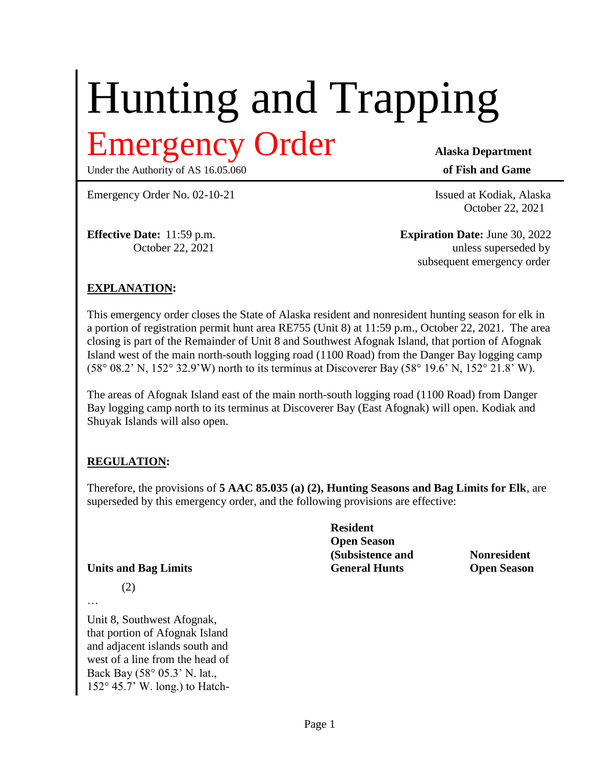# Hunting and Trapping

Under the Authority of AS 16.05.060 **of Fish and Game** 

Emergency Order **Alaska Department**

Emergency Order No. 02-10-21 Issued at Kodiak, Alaska

October 22, 2021

**Effective Date:** 11:59 p.m. **Expiration Date:** June 30, 2022 October 22, 2021 unless superseded by unless superseded by subsequent emergency order

# **EXPLANATION:**

This emergency order closes the State of Alaska resident and nonresident hunting season for elk in a portion of registration permit hunt area RE755 (Unit 8) at 11:59 p.m., October 22, 2021. The area closing is part of the Remainder of Unit 8 and Southwest Afognak Island, that portion of Afognak Island west of the main north-south logging road (1100 Road) from the Danger Bay logging camp  $(58°08.2' N, 152°32.9' W)$  north to its terminus at Discoverer Bay  $(58°19.6' N, 152°21.8' W)$ .

The areas of Afognak Island east of the main north-south logging road (1100 Road) from Danger Bay logging camp north to its terminus at Discoverer Bay (East Afognak) will open. Kodiak and Shuyak Islands will also open.

### **REGULATION:**

(2)

Therefore, the provisions of **5 AAC 85.035 (a) (2), Hunting Seasons and Bag Limits for Elk**, are superseded by this emergency order, and the following provisions are effective:

|                             | <b>Resident</b>      |                    |
|-----------------------------|----------------------|--------------------|
|                             | <b>Open Season</b>   |                    |
|                             | (Subsistence and     | <b>Nonresident</b> |
| <b>Units and Bag Limits</b> | <b>General Hunts</b> | <b>Open Season</b> |

…

Unit 8, Southwest Afognak, that portion of Afognak Island and adjacent islands south and west of a line from the head of Back Bay (58° 05.3' N. lat., 152° 45.7' W. long.) to Hatch-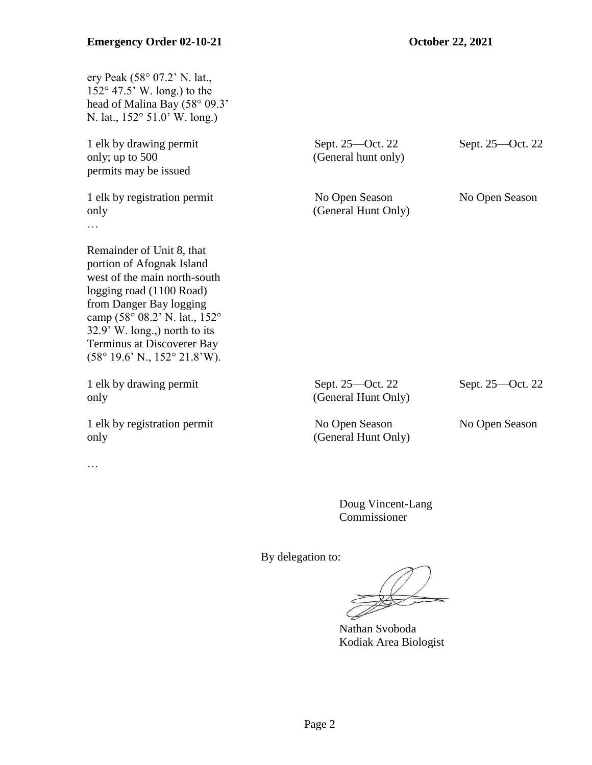| ery Peak (58° 07.2' N. lat.,<br>$152^{\circ}$ 47.5' W. long.) to the<br>head of Malina Bay (58° 09.3'<br>N. lat., 152° 51.0' W. long.)                                                                                                                                                                       |                                         |                  |
|--------------------------------------------------------------------------------------------------------------------------------------------------------------------------------------------------------------------------------------------------------------------------------------------------------------|-----------------------------------------|------------------|
| 1 elk by drawing permit<br>only; up to 500<br>permits may be issued                                                                                                                                                                                                                                          | Sept. 25—Oct. 22<br>(General hunt only) | Sept. 25—Oct. 22 |
| 1 elk by registration permit<br>only                                                                                                                                                                                                                                                                         | No Open Season<br>(General Hunt Only)   | No Open Season   |
| Remainder of Unit 8, that<br>portion of Afognak Island<br>west of the main north-south<br>logging road (1100 Road)<br>from Danger Bay logging<br>camp (58° 08.2' N. lat., 152°<br>32.9' W. long.,) north to its<br>Terminus at Discoverer Bay<br>$(58^{\circ} 19.6^{\circ} N., 152^{\circ} 21.8^{\circ} W).$ |                                         |                  |
| 1 elk by drawing permit<br>only                                                                                                                                                                                                                                                                              | Sept. 25-Oct. 22<br>(General Hunt Only) | Sept. 25—Oct. 22 |
| 1 elk by registration permit<br>only                                                                                                                                                                                                                                                                         | No Open Season<br>(General Hunt Only)   | No Open Season   |
| $\cdots$                                                                                                                                                                                                                                                                                                     |                                         |                  |

Doug Vincent-Lang Commissioner

By delegation to:

Nathan Svoboda Kodiak Area Biologist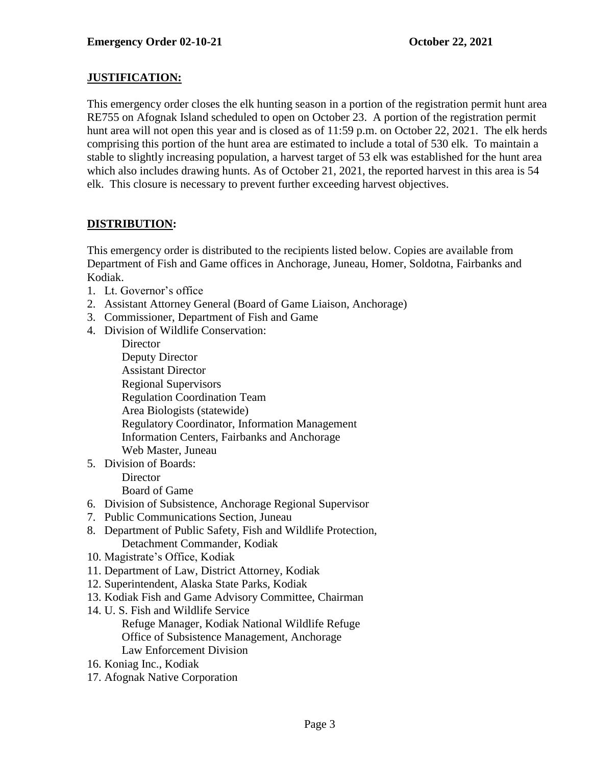### **JUSTIFICATION:**

This emergency order closes the elk hunting season in a portion of the registration permit hunt area RE755 on Afognak Island scheduled to open on October 23. A portion of the registration permit hunt area will not open this year and is closed as of 11:59 p.m. on October 22, 2021. The elk herds comprising this portion of the hunt area are estimated to include a total of 530 elk. To maintain a stable to slightly increasing population, a harvest target of 53 elk was established for the hunt area which also includes drawing hunts. As of October 21, 2021, the reported harvest in this area is 54 elk. This closure is necessary to prevent further exceeding harvest objectives.

# **DISTRIBUTION:**

This emergency order is distributed to the recipients listed below. Copies are available from Department of Fish and Game offices in Anchorage, Juneau, Homer, Soldotna, Fairbanks and Kodiak.

- 1. Lt. Governor's office
- 2. Assistant Attorney General (Board of Game Liaison, Anchorage)
- 3. Commissioner, Department of Fish and Game
- 4. Division of Wildlife Conservation:

**Director** Deputy Director Assistant Director Regional Supervisors Regulation Coordination Team Area Biologists (statewide) Regulatory Coordinator, Information Management Information Centers, Fairbanks and Anchorage Web Master, Juneau

5. Division of Boards:

**Director** 

Board of Game

- 6. Division of Subsistence, Anchorage Regional Supervisor
- 7. Public Communications Section, Juneau
- 8. Department of Public Safety, Fish and Wildlife Protection, Detachment Commander, Kodiak
- 10. Magistrate's Office, Kodiak
- 11. Department of Law, District Attorney, Kodiak
- 12. Superintendent, Alaska State Parks, Kodiak
- 13. Kodiak Fish and Game Advisory Committee, Chairman
- 14. U. S. Fish and Wildlife Service Refuge Manager, Kodiak National Wildlife Refuge Office of Subsistence Management, Anchorage Law Enforcement Division
- 16. Koniag Inc., Kodiak
- 17. Afognak Native Corporation